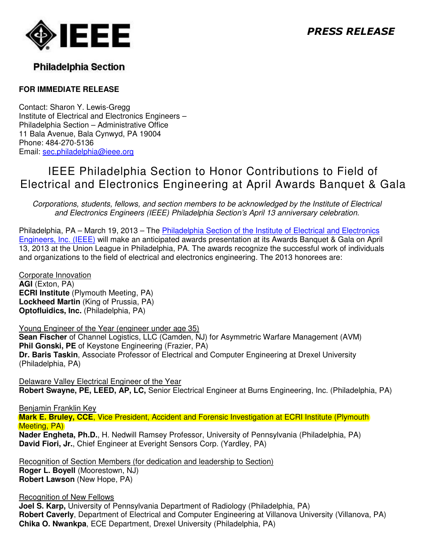

## **Philadelphia Section**

### **FOR IMMEDIATE RELEASE**

Contact: Sharon Y. Lewis-Gregg Institute of Electrical and Electronics Engineers – Philadelphia Section – Administrative Office 11 Bala Avenue, Bala Cynwyd, PA 19004 Phone: 484-270-5136 Email: sec.philadelphia@ieee.org

# IEEE Philadelphia Section to Honor Contributions to Field of Electrical and Electronics Engineering at April Awards Banquet & Gala

Corporations, students, fellows, and section members to be acknowledged by the Institute of Electrical and Electronics Engineers (IEEE) Philadelphia Section's April 13 anniversary celebration.

Philadelphia, PA – March 19, 2013 – The *Philadelphia Section of the Institute of Electrical and Electronics* Engineers, Inc. (IEEE) will make an anticipated awards presentation at its Awards Banquet & Gala on April 13, 2013 at the Union League in Philadelphia, PA. The awards recognize the successful work of individuals and organizations to the field of electrical and electronics engineering. The 2013 honorees are:

Corporate Innovation **AGI** (Exton, PA) **ECRI Institute** (Plymouth Meeting, PA) **Lockheed Martin** (King of Prussia, PA) **Optofluidics, Inc.** (Philadelphia, PA)

Young Engineer of the Year (engineer under age 35) **Sean Fischer** of Channel Logistics, LLC (Camden, NJ) for Asymmetric Warfare Management (AVM) **Phil Gonski, PE** of Keystone Engineering (Frazier, PA) **Dr. Baris Taskin**, Associate Professor of Electrical and Computer Engineering at Drexel University (Philadelphia, PA)

Delaware Valley Electrical Engineer of the Year **Robert Swayne, PE, LEED, AP, LC,** Senior Electrical Engineer at Burns Engineering, Inc. (Philadelphia, PA)

Benjamin Franklin Key

**Mark E. Bruley, CCE**, Vice President, Accident and Forensic Investigation at ECRI Institute (Plymouth Meeting, PA)

**Nader Engheta, Ph.D.**, H. Nedwill Ramsey Professor, University of Pennsylvania (Philadelphia, PA) **David Fiori, Jr.**, Chief Engineer at Everight Sensors Corp. (Yardley, PA)

Recognition of Section Members (for dedication and leadership to Section) **Roger L. Boyell** (Moorestown, NJ) **Robert Lawson** (New Hope, PA)

Recognition of New Fellows

**Joel S. Karp,** University of Pennsylvania Department of Radiology (Philadelphia, PA) **Robert Caverly**, Department of Electrical and Computer Engineering at Villanova University (Villanova, PA) **Chika O. Nwankpa**, ECE Department, Drexel University (Philadelphia, PA)